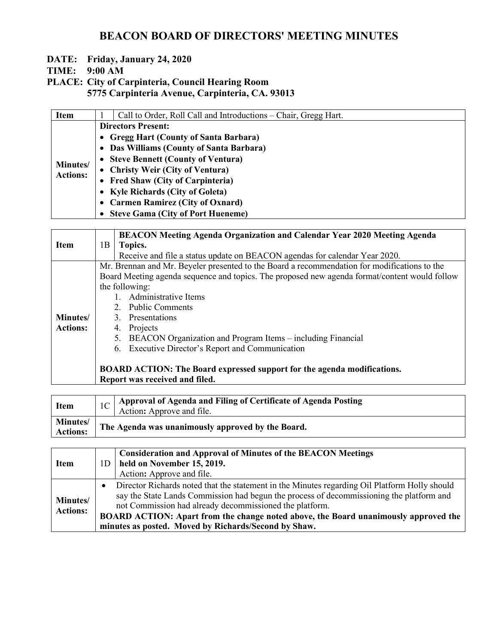## **DATE: Friday, January 24, 2020**

**TIME: 9:00 AM**

**PLACE: City of Carpinteria, Council Hearing Room 5775 Carpinteria Avenue, Carpinteria, CA. 93013**

| <b>Item</b>     | Call to Order, Roll Call and Introductions – Chair, Gregg Hart. |
|-----------------|-----------------------------------------------------------------|
|                 | <b>Directors Present:</b>                                       |
|                 | • Gregg Hart (County of Santa Barbara)                          |
|                 | • Das Williams (County of Santa Barbara)                        |
|                 | • Steve Bennett (County of Ventura)                             |
| Minutes/        | • Christy Weir (City of Ventura)                                |
| <b>Actions:</b> | • Fred Shaw (City of Carpinteria)                               |
|                 | • Kyle Richards (City of Goleta)                                |
|                 | • Carmen Ramirez (City of Oxnard)                               |
|                 | • Steve Gama (City of Port Hueneme)                             |

|                  |                                | <b>BEACON Meeting Agenda Organization and Calendar Year 2020 Meeting Agenda</b>               |  |  |
|------------------|--------------------------------|-----------------------------------------------------------------------------------------------|--|--|
| <b>Item</b>      | 1B<br>Topics.                  |                                                                                               |  |  |
|                  |                                | Receive and file a status update on BEACON agendas for calendar Year 2020.                    |  |  |
|                  |                                | Mr. Brennan and Mr. Beyeler presented to the Board a recommendation for modifications to the  |  |  |
|                  |                                | Board Meeting agenda sequence and topics. The proposed new agenda format/content would follow |  |  |
|                  |                                | the following:                                                                                |  |  |
|                  |                                | Administrative Items                                                                          |  |  |
|                  |                                | 2. Public Comments                                                                            |  |  |
| <b>Minutes</b> / |                                | 3. Presentations                                                                              |  |  |
| <b>Actions:</b>  |                                | Projects<br>4.                                                                                |  |  |
|                  |                                | BEACON Organization and Program Items – including Financial<br>5.                             |  |  |
|                  |                                | Executive Director's Report and Communication<br>6.                                           |  |  |
|                  |                                |                                                                                               |  |  |
|                  |                                | <b>BOARD ACTION: The Board expressed support for the agenda modifications.</b>                |  |  |
|                  | Report was received and filed. |                                                                                               |  |  |

| <b>Item</b>                        | $\frac{1}{10}$   Approval of Agenda and Filing of Certificate of Agenda Posting<br><sup>1</sup> Action: Approve and file. |
|------------------------------------|---------------------------------------------------------------------------------------------------------------------------|
| <b>Minutes/</b><br><b>Actions:</b> | The Agenda was unanimously approved by the Board.                                                                         |

| <b>Item</b>                 | 1D        | <b>Consideration and Approval of Minutes of the BEACON Meetings</b><br>held on November 15, 2019.<br>Action: Approve and file.                                                                                                                                                                                                                                                                      |
|-----------------------------|-----------|-----------------------------------------------------------------------------------------------------------------------------------------------------------------------------------------------------------------------------------------------------------------------------------------------------------------------------------------------------------------------------------------------------|
| Minutes/<br><b>Actions:</b> | $\bullet$ | Director Richards noted that the statement in the Minutes regarding Oil Platform Holly should<br>say the State Lands Commission had begun the process of decommissioning the platform and<br>not Commission had already decommissioned the platform.<br>BOARD ACTION: Apart from the change noted above, the Board unanimously approved the<br>minutes as posted. Moved by Richards/Second by Shaw. |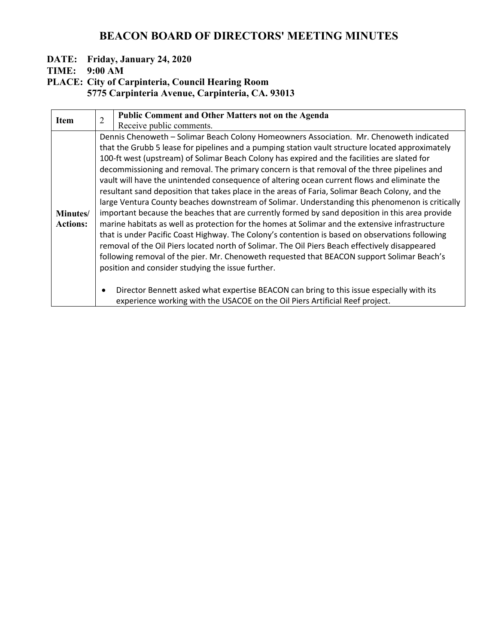## **DATE: Friday, January 24, 2020**

**TIME: 9:00 AM**

**PLACE: City of Carpinteria, Council Hearing Room**

**5775 Carpinteria Avenue, Carpinteria, CA. 93013**

| <b>Item</b>     | $\overline{2}$                                                                                  | <b>Public Comment and Other Matters not on the Agenda</b>                                        |  |
|-----------------|-------------------------------------------------------------------------------------------------|--------------------------------------------------------------------------------------------------|--|
|                 |                                                                                                 | Receive public comments.                                                                         |  |
|                 |                                                                                                 | Dennis Chenoweth - Solimar Beach Colony Homeowners Association. Mr. Chenoweth indicated          |  |
|                 |                                                                                                 | that the Grubb 5 lease for pipelines and a pumping station vault structure located approximately |  |
|                 |                                                                                                 | 100-ft west (upstream) of Solimar Beach Colony has expired and the facilities are slated for     |  |
|                 |                                                                                                 | decommissioning and removal. The primary concern is that removal of the three pipelines and      |  |
|                 |                                                                                                 | vault will have the unintended consequence of altering ocean current flows and eliminate the     |  |
|                 | resultant sand deposition that takes place in the areas of Faria, Solimar Beach Colony, and the |                                                                                                  |  |
|                 |                                                                                                 | large Ventura County beaches downstream of Solimar. Understanding this phenomenon is critically  |  |
| Minutes/        | important because the beaches that are currently formed by sand deposition in this area provide |                                                                                                  |  |
| <b>Actions:</b> | marine habitats as well as protection for the homes at Solimar and the extensive infrastructure |                                                                                                  |  |
|                 |                                                                                                 | that is under Pacific Coast Highway. The Colony's contention is based on observations following  |  |
|                 | removal of the Oil Piers located north of Solimar. The Oil Piers Beach effectively disappeared  |                                                                                                  |  |
|                 | following removal of the pier. Mr. Chenoweth requested that BEACON support Solimar Beach's      |                                                                                                  |  |
|                 | position and consider studying the issue further.                                               |                                                                                                  |  |
|                 |                                                                                                 |                                                                                                  |  |
|                 | $\bullet$                                                                                       | Director Bennett asked what expertise BEACON can bring to this issue especially with its         |  |
|                 |                                                                                                 | experience working with the USACOE on the Oil Piers Artificial Reef project.                     |  |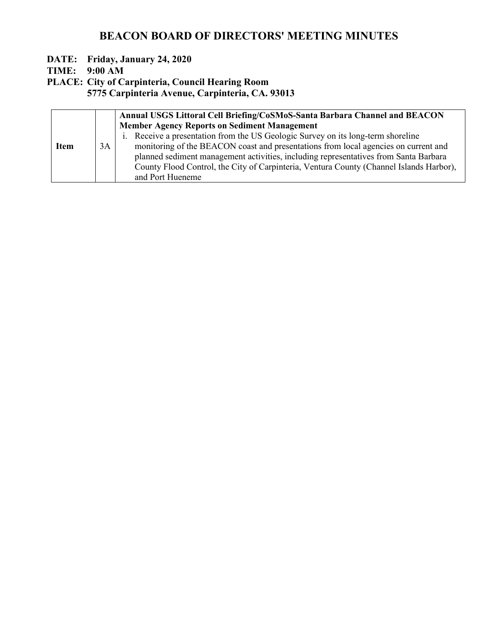## **DATE: Friday, January 24, 2020**

**TIME: 9:00 AM**

**PLACE: City of Carpinteria, Council Hearing Room**

**5775 Carpinteria Avenue, Carpinteria, CA. 93013**

|             | Annual USGS Littoral Cell Briefing/CoSMoS-Santa Barbara Channel and BEACON |                                                                                         |
|-------------|----------------------------------------------------------------------------|-----------------------------------------------------------------------------------------|
|             |                                                                            | <b>Member Agency Reports on Sediment Management</b>                                     |
|             |                                                                            | i. Receive a presentation from the US Geologic Survey on its long-term shoreline        |
| <b>Item</b> | 3A                                                                         | monitoring of the BEACON coast and presentations from local agencies on current and     |
|             |                                                                            | planned sediment management activities, including representatives from Santa Barbara    |
|             |                                                                            | County Flood Control, the City of Carpinteria, Ventura County (Channel Islands Harbor), |
|             |                                                                            | and Port Hueneme                                                                        |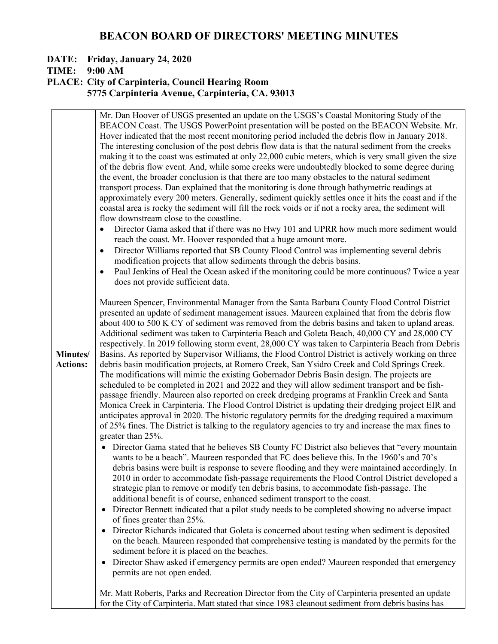## **DATE: Friday, January 24, 2020**

## **TIME: 9:00 AM**

#### **PLACE: City of Carpinteria, Council Hearing Room 5775 Carpinteria Avenue, Carpinteria, CA. 93013**

|                             | Mr. Dan Hoover of USGS presented an update on the USGS's Coastal Monitoring Study of the<br>BEACON Coast. The USGS PowerPoint presentation will be posted on the BEACON Website. Mr.<br>Hover indicated that the most recent monitoring period included the debris flow in January 2018.<br>The interesting conclusion of the post debris flow data is that the natural sediment from the creeks<br>making it to the coast was estimated at only 22,000 cubic meters, which is very small given the size<br>of the debris flow event. And, while some creeks were undoubtedly blocked to some degree during<br>the event, the broader conclusion is that there are too many obstacles to the natural sediment<br>transport process. Dan explained that the monitoring is done through bathymetric readings at<br>approximately every 200 meters. Generally, sediment quickly settles once it hits the coast and if the<br>coastal area is rocky the sediment will fill the rock voids or if not a rocky area, the sediment will<br>flow downstream close to the coastline.<br>Director Gama asked that if there was no Hwy 101 and UPRR how much more sediment would<br>$\bullet$<br>reach the coast. Mr. Hoover responded that a huge amount more.<br>Director Williams reported that SB County Flood Control was implementing several debris<br>$\bullet$<br>modification projects that allow sediments through the debris basins.<br>Paul Jenkins of Heal the Ocean asked if the monitoring could be more continuous? Twice a year<br>$\bullet$<br>does not provide sufficient data. |
|-----------------------------|-----------------------------------------------------------------------------------------------------------------------------------------------------------------------------------------------------------------------------------------------------------------------------------------------------------------------------------------------------------------------------------------------------------------------------------------------------------------------------------------------------------------------------------------------------------------------------------------------------------------------------------------------------------------------------------------------------------------------------------------------------------------------------------------------------------------------------------------------------------------------------------------------------------------------------------------------------------------------------------------------------------------------------------------------------------------------------------------------------------------------------------------------------------------------------------------------------------------------------------------------------------------------------------------------------------------------------------------------------------------------------------------------------------------------------------------------------------------------------------------------------------------------------------------------------------------------------------------|
| Minutes/<br><b>Actions:</b> | Maureen Spencer, Environmental Manager from the Santa Barbara County Flood Control District<br>presented an update of sediment management issues. Maureen explained that from the debris flow<br>about 400 to 500 K CY of sediment was removed from the debris basins and taken to upland areas.<br>Additional sediment was taken to Carpinteria Beach and Goleta Beach, 40,000 CY and 28,000 CY<br>respectively. In 2019 following storm event, 28,000 CY was taken to Carpinteria Beach from Debris<br>Basins. As reported by Supervisor Williams, the Flood Control District is actively working on three<br>debris basin modification projects, at Romero Creek, San Ysidro Creek and Cold Springs Creek.<br>The modifications will mimic the existing Gobernador Debris Basin design. The projects are<br>scheduled to be completed in 2021 and 2022 and they will allow sediment transport and be fish-<br>passage friendly. Maureen also reported on creek dredging programs at Franklin Creek and Santa<br>Monica Creek in Carpinteria. The Flood Control District is updating their dredging project EIR and<br>anticipates approval in 2020. The historic regulatory permits for the dredging required a maximum<br>of 25% fines. The District is talking to the regulatory agencies to try and increase the max fines to<br>greater than 25%.                                                                                                                                                                                                                                |
|                             | Director Gama stated that he believes SB County FC District also believes that "every mountain"<br>wants to be a beach". Maureen responded that FC does believe this. In the 1960's and 70's<br>debris basins were built is response to severe flooding and they were maintained accordingly. In<br>2010 in order to accommodate fish-passage requirements the Flood Control District developed a<br>strategic plan to remove or modify ten debris basins, to accommodate fish-passage. The<br>additional benefit is of course, enhanced sediment transport to the coast.<br>Director Bennett indicated that a pilot study needs to be completed showing no adverse impact<br>$\bullet$<br>of fines greater than 25%.<br>Director Richards indicated that Goleta is concerned about testing when sediment is deposited<br>on the beach. Maureen responded that comprehensive testing is mandated by the permits for the<br>sediment before it is placed on the beaches.<br>Director Shaw asked if emergency permits are open ended? Maureen responded that emergency<br>$\bullet$<br>permits are not open ended.                                                                                                                                                                                                                                                                                                                                                                                                                                                                        |
|                             | Mr. Matt Roberts, Parks and Recreation Director from the City of Carpinteria presented an update<br>for the City of Carpinteria. Matt stated that since 1983 cleanout sediment from debris basins has                                                                                                                                                                                                                                                                                                                                                                                                                                                                                                                                                                                                                                                                                                                                                                                                                                                                                                                                                                                                                                                                                                                                                                                                                                                                                                                                                                                   |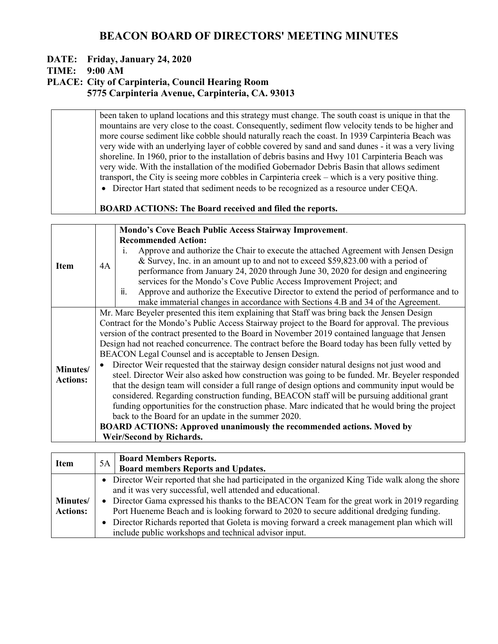### **DATE: Friday, January 24, 2020**

#### **TIME: 9:00 AM**

#### **PLACE: City of Carpinteria, Council Hearing Room 5775 Carpinteria Avenue, Carpinteria, CA. 93013**

been taken to upland locations and this strategy must change. The south coast is unique in that the mountains are very close to the coast. Consequently, sediment flow velocity tends to be higher and more course sediment like cobble should naturally reach the coast. In 1939 Carpinteria Beach was very wide with an underlying layer of cobble covered by sand and sand dunes - it was a very living shoreline. In 1960, prior to the installation of debris basins and Hwy 101 Carpinteria Beach was very wide. With the installation of the modified Gobernador Debris Basin that allows sediment transport, the City is seeing more cobbles in Carpinteria creek – which is a very positive thing. • Director Hart stated that sediment needs to be recognized as a resource under CEQA. **BOARD ACTIONS: The Board received and filed the reports. Item** 4A **Mondo's Cove Beach Public Access Stairway Improvement**. **Recommended Action:**  i. Approve and authorize the Chair to execute the attached Agreement with Jensen Design & Survey, Inc. in an amount up to and not to exceed \$59,823.00 with a period of performance from January 24, 2020 through June 30, 2020 for design and engineering

services for the Mondo's Cove Public Access Improvement Project; and

ii. Approve and authorize the Executive Director to extend the period of performance and to make immaterial changes in accordance with Sections 4.B and 34 of the Agreement.

Mr. Marc Beyeler presented this item explaining that Staff was bring back the Jensen Design Contract for the Mondo's Public Access Stairway project to the Board for approval. The previous version of the contract presented to the Board in November 2019 contained language that Jensen Design had not reached concurrence. The contract before the Board today has been fully vetted by BEACON Legal Counsel and is acceptable to Jensen Design.

**Minutes/ Actions:** • Director Weir requested that the stairway design consider natural designs not just wood and steel. Director Weir also asked how construction was going to be funded. Mr. Beyeler responded that the design team will consider a full range of design options and community input would be considered. Regarding construction funding, BEACON staff will be pursuing additional grant funding opportunities for the construction phase. Marc indicated that he would bring the project back to the Board for an update in the summer 2020.

**BOARD ACTIONS: Approved unanimously the recommended actions. Moved by Weir/Second by Richards.**

| <b>Item</b>                         | 5A | <b>Board Members Reports.</b><br><b>Board members Reports and Updates.</b>                                                                                                                                                                                                                                                                                                                                                                                                                                             |  |
|-------------------------------------|----|------------------------------------------------------------------------------------------------------------------------------------------------------------------------------------------------------------------------------------------------------------------------------------------------------------------------------------------------------------------------------------------------------------------------------------------------------------------------------------------------------------------------|--|
| <b>Minutes</b> /<br><b>Actions:</b> |    | • Director Weir reported that she had participated in the organized King Tide walk along the shore<br>and it was very successful, well attended and educational.<br>• Director Gama expressed his thanks to the BEACON Team for the great work in 2019 regarding<br>Port Hueneme Beach and is looking forward to 2020 to secure additional dredging funding.<br>• Director Richards reported that Goleta is moving forward a creek management plan which will<br>include public workshops and technical advisor input. |  |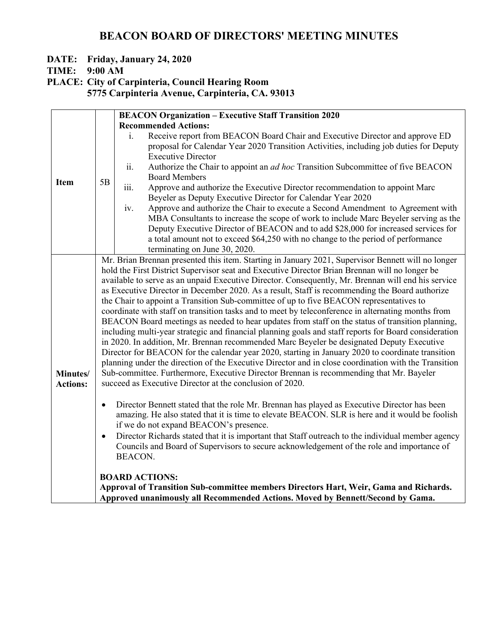## **DATE: Friday, January 24, 2020**

**TIME: 9:00 AM**

**PLACE: City of Carpinteria, Council Hearing Room**

**5775 Carpinteria Avenue, Carpinteria, CA. 93013**

|                 | <b>BEACON Organization - Executive Staff Transition 2020</b>                                          |                                                                                                                                     |  |  |  |
|-----------------|-------------------------------------------------------------------------------------------------------|-------------------------------------------------------------------------------------------------------------------------------------|--|--|--|
|                 |                                                                                                       | <b>Recommended Actions:</b>                                                                                                         |  |  |  |
|                 |                                                                                                       | Receive report from BEACON Board Chair and Executive Director and approve ED<br>$\mathbf{i}$ .                                      |  |  |  |
|                 |                                                                                                       | proposal for Calendar Year 2020 Transition Activities, including job duties for Deputy                                              |  |  |  |
|                 |                                                                                                       | <b>Executive Director</b>                                                                                                           |  |  |  |
|                 |                                                                                                       | ii.<br>Authorize the Chair to appoint an ad hoc Transition Subcommittee of five BEACON                                              |  |  |  |
| <b>Item</b>     | 5B                                                                                                    | <b>Board Members</b>                                                                                                                |  |  |  |
|                 |                                                                                                       | iii.<br>Approve and authorize the Executive Director recommendation to appoint Marc                                                 |  |  |  |
|                 |                                                                                                       | Beyeler as Deputy Executive Director for Calendar Year 2020                                                                         |  |  |  |
|                 |                                                                                                       | Approve and authorize the Chair to execute a Second Amendment to Agreement with<br>iv.                                              |  |  |  |
|                 |                                                                                                       | MBA Consultants to increase the scope of work to include Marc Beyeler serving as the                                                |  |  |  |
|                 |                                                                                                       | Deputy Executive Director of BEACON and to add \$28,000 for increased services for                                                  |  |  |  |
|                 |                                                                                                       | a total amount not to exceed \$64,250 with no change to the period of performance                                                   |  |  |  |
|                 |                                                                                                       | terminating on June 30, 2020.<br>Mr. Brian Brennan presented this item. Starting in January 2021, Supervisor Bennett will no longer |  |  |  |
|                 |                                                                                                       | hold the First District Supervisor seat and Executive Director Brian Brennan will no longer be                                      |  |  |  |
|                 |                                                                                                       | available to serve as an unpaid Executive Director. Consequently, Mr. Brennan will end his service                                  |  |  |  |
|                 | as Executive Director in December 2020. As a result, Staff is recommending the Board authorize        |                                                                                                                                     |  |  |  |
|                 | the Chair to appoint a Transition Sub-committee of up to five BEACON representatives to               |                                                                                                                                     |  |  |  |
|                 | coordinate with staff on transition tasks and to meet by teleconference in alternating months from    |                                                                                                                                     |  |  |  |
|                 | BEACON Board meetings as needed to hear updates from staff on the status of transition planning,      |                                                                                                                                     |  |  |  |
|                 | including multi-year strategic and financial planning goals and staff reports for Board consideration |                                                                                                                                     |  |  |  |
|                 | in 2020. In addition, Mr. Brennan recommended Marc Beyeler be designated Deputy Executive             |                                                                                                                                     |  |  |  |
|                 |                                                                                                       | Director for BEACON for the calendar year 2020, starting in January 2020 to coordinate transition                                   |  |  |  |
|                 |                                                                                                       | planning under the direction of the Executive Director and in close coordination with the Transition                                |  |  |  |
| Minutes/        |                                                                                                       | Sub-committee. Furthermore, Executive Director Brennan is recommending that Mr. Bayeler                                             |  |  |  |
| <b>Actions:</b> |                                                                                                       | succeed as Executive Director at the conclusion of 2020.                                                                            |  |  |  |
|                 |                                                                                                       |                                                                                                                                     |  |  |  |
|                 | $\bullet$                                                                                             | Director Bennett stated that the role Mr. Brennan has played as Executive Director has been                                         |  |  |  |
|                 |                                                                                                       | amazing. He also stated that it is time to elevate BEACON. SLR is here and it would be foolish                                      |  |  |  |
|                 |                                                                                                       | if we do not expand BEACON's presence.                                                                                              |  |  |  |
|                 | $\bullet$                                                                                             | Director Richards stated that it is important that Staff outreach to the individual member agency                                   |  |  |  |
|                 |                                                                                                       | Councils and Board of Supervisors to secure acknowledgement of the role and importance of                                           |  |  |  |
|                 |                                                                                                       | <b>BEACON.</b>                                                                                                                      |  |  |  |
|                 |                                                                                                       |                                                                                                                                     |  |  |  |
|                 |                                                                                                       | <b>BOARD ACTIONS:</b>                                                                                                               |  |  |  |
|                 |                                                                                                       | Approval of Transition Sub-committee members Directors Hart, Weir, Gama and Richards.                                               |  |  |  |
|                 |                                                                                                       | Approved unanimously all Recommended Actions. Moved by Bennett/Second by Gama.                                                      |  |  |  |